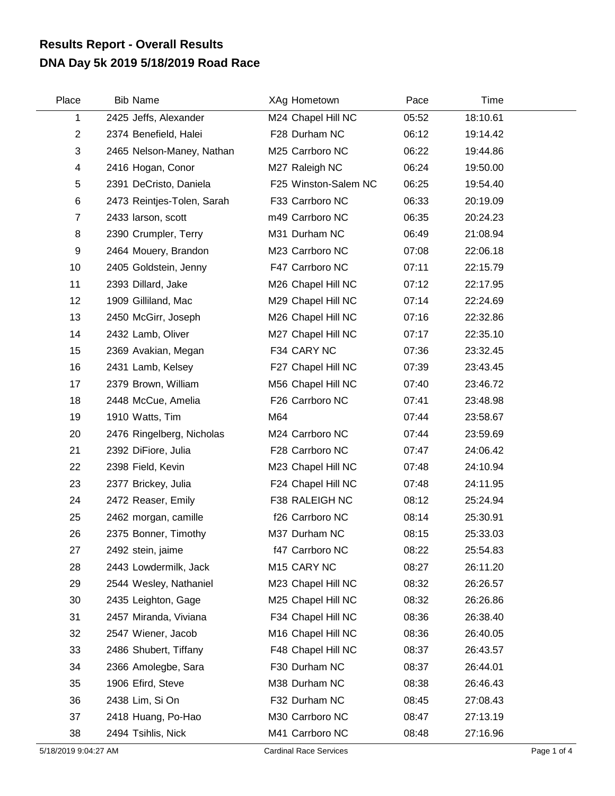## **DNA Day 5k 2019 5/18/2019 Road Race Results Report - Overall Results**

| Place          | <b>Bib Name</b>            | XAg Hometown         | Pace  | Time     |  |
|----------------|----------------------------|----------------------|-------|----------|--|
| 1              | 2425 Jeffs, Alexander      | M24 Chapel Hill NC   | 05:52 | 18:10.61 |  |
| $\overline{2}$ | 2374 Benefield, Halei      | F28 Durham NC        | 06:12 | 19:14.42 |  |
| 3              | 2465 Nelson-Maney, Nathan  | M25 Carrboro NC      | 06:22 | 19:44.86 |  |
| 4              | 2416 Hogan, Conor          | M27 Raleigh NC       | 06:24 | 19:50.00 |  |
| 5              | 2391 DeCristo, Daniela     | F25 Winston-Salem NC | 06:25 | 19:54.40 |  |
| 6              | 2473 Reintjes-Tolen, Sarah | F33 Carrboro NC      | 06:33 | 20:19.09 |  |
| $\overline{7}$ | 2433 larson, scott         | m49 Carrboro NC      | 06:35 | 20:24.23 |  |
| 8              | 2390 Crumpler, Terry       | M31 Durham NC        | 06:49 | 21:08.94 |  |
| 9              | 2464 Mouery, Brandon       | M23 Carrboro NC      | 07:08 | 22:06.18 |  |
| 10             | 2405 Goldstein, Jenny      | F47 Carrboro NC      | 07:11 | 22:15.79 |  |
| 11             | 2393 Dillard, Jake         | M26 Chapel Hill NC   | 07:12 | 22:17.95 |  |
| 12             | 1909 Gilliland, Mac        | M29 Chapel Hill NC   | 07:14 | 22:24.69 |  |
| 13             | 2450 McGirr, Joseph        | M26 Chapel Hill NC   | 07:16 | 22:32.86 |  |
| 14             | 2432 Lamb, Oliver          | M27 Chapel Hill NC   | 07:17 | 22:35.10 |  |
| 15             | 2369 Avakian, Megan        | F34 CARY NC          | 07:36 | 23:32.45 |  |
| 16             | 2431 Lamb, Kelsey          | F27 Chapel Hill NC   | 07:39 | 23:43.45 |  |
| 17             | 2379 Brown, William        | M56 Chapel Hill NC   | 07:40 | 23:46.72 |  |
| 18             | 2448 McCue, Amelia         | F26 Carrboro NC      | 07:41 | 23:48.98 |  |
| 19             | 1910 Watts, Tim            | M64                  | 07:44 | 23:58.67 |  |
| 20             | 2476 Ringelberg, Nicholas  | M24 Carrboro NC      | 07:44 | 23:59.69 |  |
| 21             | 2392 DiFiore, Julia        | F28 Carrboro NC      | 07:47 | 24:06.42 |  |
| 22             | 2398 Field, Kevin          | M23 Chapel Hill NC   | 07:48 | 24:10.94 |  |
| 23             | 2377 Brickey, Julia        | F24 Chapel Hill NC   | 07:48 | 24:11.95 |  |
| 24             | 2472 Reaser, Emily         | F38 RALEIGH NC       | 08:12 | 25:24.94 |  |
| 25             | 2462 morgan, camille       | f26 Carrboro NC      | 08:14 | 25:30.91 |  |
| 26             | 2375 Bonner, Timothy       | M37 Durham NC        | 08:15 | 25:33.03 |  |
| 27             | 2492 stein, jaime          | f47 Carrboro NC      | 08:22 | 25:54.83 |  |
| 28             | 2443 Lowdermilk, Jack      | M15 CARY NC          | 08:27 | 26:11.20 |  |
| 29             | 2544 Wesley, Nathaniel     | M23 Chapel Hill NC   | 08:32 | 26:26.57 |  |
| 30             | 2435 Leighton, Gage        | M25 Chapel Hill NC   | 08:32 | 26:26.86 |  |
| 31             | 2457 Miranda, Viviana      | F34 Chapel Hill NC   | 08:36 | 26:38.40 |  |
| 32             | 2547 Wiener, Jacob         | M16 Chapel Hill NC   | 08:36 | 26:40.05 |  |
| 33             | 2486 Shubert, Tiffany      | F48 Chapel Hill NC   | 08:37 | 26:43.57 |  |
| 34             | 2366 Amolegbe, Sara        | F30 Durham NC        | 08:37 | 26:44.01 |  |
| 35             | 1906 Efird, Steve          | M38 Durham NC        | 08:38 | 26:46.43 |  |
| 36             | 2438 Lim, Si On            | F32 Durham NC        | 08:45 | 27:08.43 |  |
| 37             | 2418 Huang, Po-Hao         | M30 Carrboro NC      | 08:47 | 27:13.19 |  |
| 38             | 2494 Tsihlis, Nick         | M41 Carrboro NC      | 08:48 | 27:16.96 |  |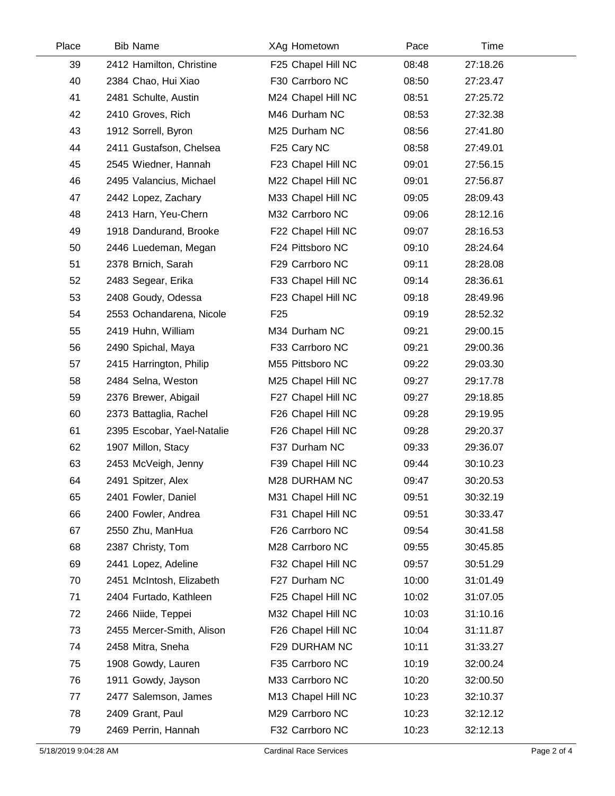| Place | <b>Bib Name</b>            |                 | XAg Hometown       | Pace  | Time     |  |
|-------|----------------------------|-----------------|--------------------|-------|----------|--|
| 39    | 2412 Hamilton, Christine   |                 | F25 Chapel Hill NC | 08:48 | 27:18.26 |  |
| 40    | 2384 Chao, Hui Xiao        |                 | F30 Carrboro NC    | 08:50 | 27:23.47 |  |
| 41    | 2481 Schulte, Austin       |                 | M24 Chapel Hill NC | 08:51 | 27:25.72 |  |
| 42    | 2410 Groves, Rich          |                 | M46 Durham NC      | 08:53 | 27:32.38 |  |
| 43    | 1912 Sorrell, Byron        |                 | M25 Durham NC      | 08:56 | 27:41.80 |  |
| 44    | 2411 Gustafson, Chelsea    |                 | F25 Cary NC        | 08:58 | 27:49.01 |  |
| 45    | 2545 Wiedner, Hannah       |                 | F23 Chapel Hill NC | 09:01 | 27:56.15 |  |
| 46    | 2495 Valancius, Michael    |                 | M22 Chapel Hill NC | 09:01 | 27:56.87 |  |
| 47    | 2442 Lopez, Zachary        |                 | M33 Chapel Hill NC | 09:05 | 28:09.43 |  |
| 48    | 2413 Harn, Yeu-Chern       |                 | M32 Carrboro NC    | 09:06 | 28:12.16 |  |
| 49    | 1918 Dandurand, Brooke     |                 | F22 Chapel Hill NC | 09:07 | 28:16.53 |  |
| 50    | 2446 Luedeman, Megan       |                 | F24 Pittsboro NC   | 09:10 | 28:24.64 |  |
| 51    | 2378 Brnich, Sarah         |                 | F29 Carrboro NC    | 09:11 | 28:28.08 |  |
| 52    | 2483 Segear, Erika         |                 | F33 Chapel Hill NC | 09:14 | 28:36.61 |  |
| 53    | 2408 Goudy, Odessa         |                 | F23 Chapel Hill NC | 09:18 | 28:49.96 |  |
| 54    | 2553 Ochandarena, Nicole   | F <sub>25</sub> |                    | 09:19 | 28:52.32 |  |
| 55    | 2419 Huhn, William         |                 | M34 Durham NC      | 09:21 | 29:00.15 |  |
| 56    | 2490 Spichal, Maya         |                 | F33 Carrboro NC    | 09:21 | 29:00.36 |  |
| 57    | 2415 Harrington, Philip    |                 | M55 Pittsboro NC   | 09:22 | 29:03.30 |  |
| 58    | 2484 Selna, Weston         |                 | M25 Chapel Hill NC | 09:27 | 29:17.78 |  |
| 59    | 2376 Brewer, Abigail       |                 | F27 Chapel Hill NC | 09:27 | 29:18.85 |  |
| 60    | 2373 Battaglia, Rachel     |                 | F26 Chapel Hill NC | 09:28 | 29:19.95 |  |
| 61    | 2395 Escobar, Yael-Natalie |                 | F26 Chapel Hill NC | 09:28 | 29:20.37 |  |
| 62    | 1907 Millon, Stacy         |                 | F37 Durham NC      | 09:33 | 29:36.07 |  |
| 63    | 2453 McVeigh, Jenny        |                 | F39 Chapel Hill NC | 09:44 | 30:10.23 |  |
| 64    | 2491 Spitzer, Alex         |                 | M28 DURHAM NC      | 09:47 | 30:20.53 |  |
| 65    | 2401 Fowler, Daniel        |                 | M31 Chapel Hill NC | 09:51 | 30:32.19 |  |
| 66    | 2400 Fowler, Andrea        |                 | F31 Chapel Hill NC | 09:51 | 30:33.47 |  |
| 67    | 2550 Zhu, ManHua           |                 | F26 Carrboro NC    | 09:54 | 30:41.58 |  |
| 68    | 2387 Christy, Tom          |                 | M28 Carrboro NC    | 09:55 | 30:45.85 |  |
| 69    | 2441 Lopez, Adeline        |                 | F32 Chapel Hill NC | 09:57 | 30:51.29 |  |
| 70    | 2451 McIntosh, Elizabeth   |                 | F27 Durham NC      | 10:00 | 31:01.49 |  |
| 71    | 2404 Furtado, Kathleen     |                 | F25 Chapel Hill NC | 10:02 | 31:07.05 |  |
| 72    | 2466 Niide, Teppei         |                 | M32 Chapel Hill NC | 10:03 | 31:10.16 |  |
| 73    | 2455 Mercer-Smith, Alison  |                 | F26 Chapel Hill NC | 10:04 | 31:11.87 |  |
| 74    | 2458 Mitra, Sneha          |                 | F29 DURHAM NC      | 10:11 | 31:33.27 |  |
| 75    | 1908 Gowdy, Lauren         |                 | F35 Carrboro NC    | 10:19 | 32:00.24 |  |
| 76    | 1911 Gowdy, Jayson         |                 | M33 Carrboro NC    | 10:20 | 32:00.50 |  |
| 77    | 2477 Salemson, James       |                 | M13 Chapel Hill NC | 10:23 | 32:10.37 |  |
| 78    | 2409 Grant, Paul           |                 | M29 Carrboro NC    | 10:23 | 32:12.12 |  |
| 79    | 2469 Perrin, Hannah        |                 | F32 Carrboro NC    | 10:23 | 32:12.13 |  |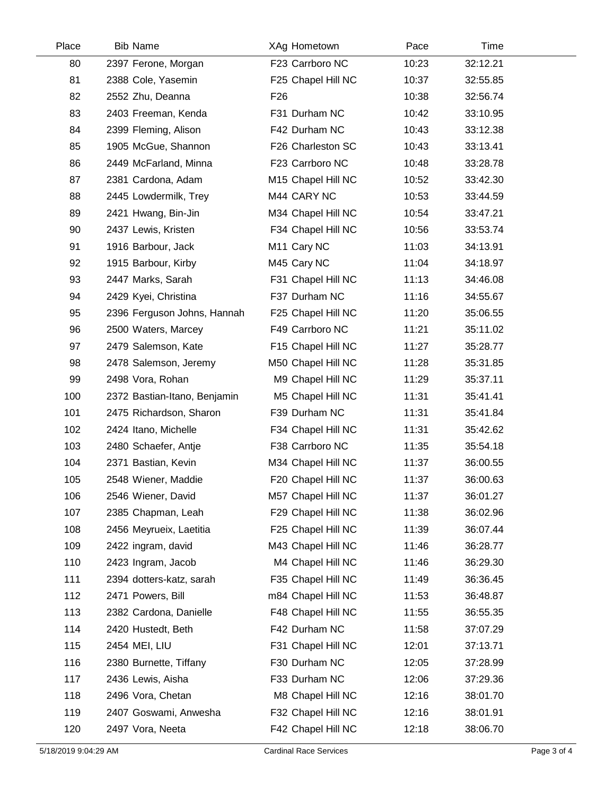| Place | <b>Bib Name</b>              | XAg Hometown            | Pace  | Time     |  |
|-------|------------------------------|-------------------------|-------|----------|--|
| 80    | 2397 Ferone, Morgan          | F23 Carrboro NC         | 10:23 | 32:12.21 |  |
| 81    | 2388 Cole, Yasemin           | F25 Chapel Hill NC      | 10:37 | 32:55.85 |  |
| 82    | 2552 Zhu, Deanna             | F <sub>26</sub>         | 10:38 | 32:56.74 |  |
| 83    | 2403 Freeman, Kenda          | F31 Durham NC           | 10:42 | 33:10.95 |  |
| 84    | 2399 Fleming, Alison         | F42 Durham NC           | 10:43 | 33:12.38 |  |
| 85    | 1905 McGue, Shannon          | F26 Charleston SC       | 10:43 | 33:13.41 |  |
| 86    | 2449 McFarland, Minna        | F23 Carrboro NC         | 10:48 | 33:28.78 |  |
| 87    | 2381 Cardona, Adam           | M15 Chapel Hill NC      | 10:52 | 33:42.30 |  |
| 88    | 2445 Lowdermilk, Trey        | M44 CARY NC             | 10:53 | 33:44.59 |  |
| 89    | 2421 Hwang, Bin-Jin          | M34 Chapel Hill NC      | 10:54 | 33:47.21 |  |
| 90    | 2437 Lewis, Kristen          | F34 Chapel Hill NC      | 10:56 | 33:53.74 |  |
| 91    | 1916 Barbour, Jack           | M <sub>11</sub> Cary NC | 11:03 | 34:13.91 |  |
| 92    | 1915 Barbour, Kirby          | M45 Cary NC             | 11:04 | 34:18.97 |  |
| 93    | 2447 Marks, Sarah            | F31 Chapel Hill NC      | 11:13 | 34:46.08 |  |
| 94    | 2429 Kyei, Christina         | F37 Durham NC           | 11:16 | 34:55.67 |  |
| 95    | 2396 Ferguson Johns, Hannah  | F25 Chapel Hill NC      | 11:20 | 35:06.55 |  |
| 96    | 2500 Waters, Marcey          | F49 Carrboro NC         | 11:21 | 35:11.02 |  |
| 97    | 2479 Salemson, Kate          | F15 Chapel Hill NC      | 11:27 | 35:28.77 |  |
| 98    | 2478 Salemson, Jeremy        | M50 Chapel Hill NC      | 11:28 | 35:31.85 |  |
| 99    | 2498 Vora, Rohan             | M9 Chapel Hill NC       | 11:29 | 35:37.11 |  |
| 100   | 2372 Bastian-Itano, Benjamin | M5 Chapel Hill NC       | 11:31 | 35:41.41 |  |
| 101   | 2475 Richardson, Sharon      | F39 Durham NC           | 11:31 | 35:41.84 |  |
| 102   | 2424 Itano, Michelle         | F34 Chapel Hill NC      | 11:31 | 35:42.62 |  |
| 103   | 2480 Schaefer, Antje         | F38 Carrboro NC         | 11:35 | 35:54.18 |  |
| 104   | 2371 Bastian, Kevin          | M34 Chapel Hill NC      | 11:37 | 36:00.55 |  |
| 105   | 2548 Wiener, Maddie          | F20 Chapel Hill NC      | 11:37 | 36:00.63 |  |
| 106   | 2546 Wiener, David           | M57 Chapel Hill NC      | 11:37 | 36:01.27 |  |
| 107   | 2385 Chapman, Leah           | F29 Chapel Hill NC      | 11:38 | 36:02.96 |  |
| 108   | 2456 Meyrueix, Laetitia      | F25 Chapel Hill NC      | 11:39 | 36:07.44 |  |
| 109   | 2422 ingram, david           | M43 Chapel Hill NC      | 11:46 | 36:28.77 |  |
| 110   | 2423 Ingram, Jacob           | M4 Chapel Hill NC       | 11:46 | 36:29.30 |  |
| 111   | 2394 dotters-katz, sarah     | F35 Chapel Hill NC      | 11:49 | 36:36.45 |  |
| 112   | 2471 Powers, Bill            | m84 Chapel Hill NC      | 11:53 | 36:48.87 |  |
| 113   | 2382 Cardona, Danielle       | F48 Chapel Hill NC      | 11:55 | 36:55.35 |  |
| 114   | 2420 Hustedt, Beth           | F42 Durham NC           | 11:58 | 37:07.29 |  |
| 115   | 2454 MEI, LIU                | F31 Chapel Hill NC      | 12:01 | 37:13.71 |  |
| 116   | 2380 Burnette, Tiffany       | F30 Durham NC           | 12:05 | 37:28.99 |  |
| 117   | 2436 Lewis, Aisha            | F33 Durham NC           | 12:06 | 37:29.36 |  |
| 118   | 2496 Vora, Chetan            | M8 Chapel Hill NC       | 12:16 | 38:01.70 |  |
| 119   | 2407 Goswami, Anwesha        | F32 Chapel Hill NC      | 12:16 | 38:01.91 |  |
| 120   | 2497 Vora, Neeta             | F42 Chapel Hill NC      | 12:18 | 38:06.70 |  |